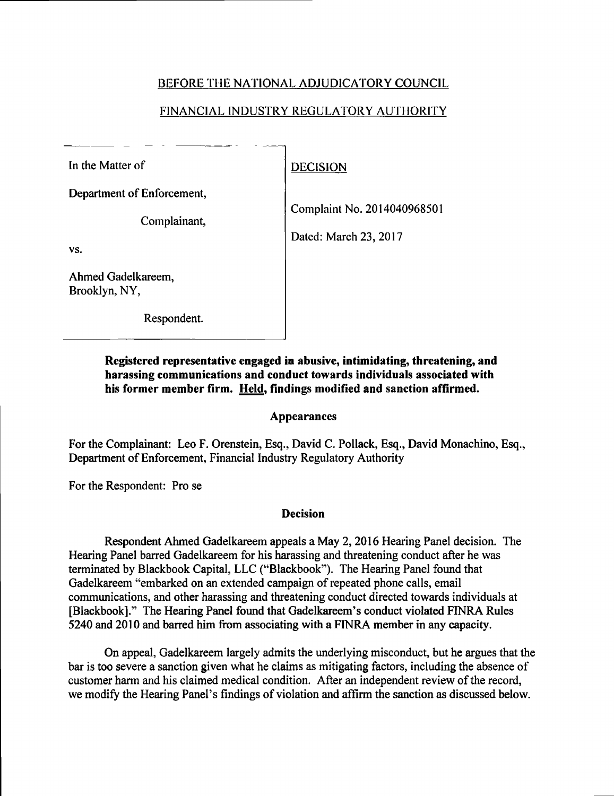# BEFORE THE NATIONAL ADJUDICATORY COUNCIL

# FINANCIAL INDUSTRY REGULATORY AUTHORITY

In the Matter of DECISION

Department of Enforcement,

Complainant,

VS.

Ahmed Gadelkareem, Brooklyn, NY,

Respondent.

Complaint No. 2014040968501

Dated: March 23,2017

Registered representative engaged in abusive, intimidating, threatening, and harassing communications and conduct towards individuals associated with his former member firm. Held, findings modified and sanction affirmed.

### Appearances

For the Complainant: Leo F. Orenstein, Esq., David C. Pollack, Esq., David Monachino, Esq., Department of Enforcement, Financial Industry Regulatory Authority

For the Respondent: Pro se

# Decision

Respondent Ahmed Gadelkareem appeals a May 2, 2016 Hearing Panel decision. The Hearing Panel barred Gadelkareem for his harassing and threatening conduct after he was terminated by Blackbook Capital, LLC ("Blackbook"). The Hearing Panel found that Gadelkareem "embarked on an extended campaign of repeated phone calls, email communications, and other harassing and threatening conduct directed towards individuals at [Blackbook]." The Hearing Panel found that Gadelkareem's conduct violated FINRA Rules 5240 and 2010 and barred him from associating with <sup>a</sup> FINRA member in any capacity.

On appeal, Gadelkareem largely admits the underlying misconduct, but he argues that the bar is too severe <sup>a</sup> sanction given what he claims as mitigating factors, including the absence of customer harm and his claimed medical condition. After an independent review of the record, we modify the Hearing Panel's findings of violation and affirm the sanction as discussed below.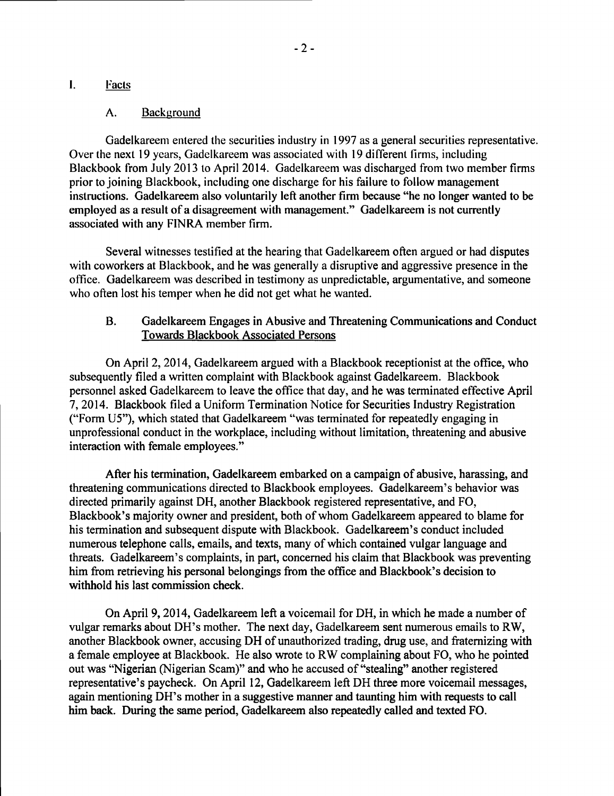## i. Facts

#### A. Background

Gadelkareem entered the securities industry in 1997 as a general securities representative. Over the next <sup>19</sup> years, Gadelkareem was associated with <sup>19</sup> different firms, including Blackbook from July 2013 to April 2014. Gadelkareem was discharged from two member firms prior to joining Blackbook, including one discharge for his failure to follow management instructions. Gadelkareem also voluntarily left another firm because "he no longer wanted to be employed as <sup>a</sup> result of a disagreement with management." Gadelkareem is not currently associated with any FINRA member firm.

Several witnesses testified at the hearing that Gadelkareem often argued or had disputes with coworkers at Blackbook, and he was generally a disruptive and aggressive presence in the office. Gadelkareem was described in testimony as unpredictable, argumentative, and someone who often lost his temper when he did not get what he wanted.

### B. Gadelkareem Engages in Abusive and Threatening Communications and Conduct Towards Blackbook Associated Persons

On April 2,2014, Gadelkareem argued with a Blackbook receptionist at the office, who subsequently filed a written complaint with Blackbook against Gadelkareem. Blackbook personnel asked Gadelkareem to leave the office that day, and he was terminated effective April 7, 2014. Blackbook filed a Uniform Termination Notice for Securities Industry Registration ("Form U5"), which stated that Gadelkareem ''was terminated for repeatedly engaging in unprofessional conduct in the workplace, including without limitation, threatening and abusive interaction with female employees."

After his termination, Gadelkareem embarked on <sup>a</sup> campaign of abusive, harassing, and threatening communications directed to Blackbook employees. Gadelkareem's behavior was directed primarily against DH, another Blackbook registered representative, and FO, Blackbook's majority owner and president, both of whom Gadelkareem appeared to blame for his termination and subsequent dispute with Blackbook. Gadelkareem's conduct included numerous telephone calls, emails, and texts, many of which contained vulgar language and threats. Gadelkareem's complaints, in part, concerned his claim that Blackbook was preventing him from retrieving his personal belongings from the office and Blackbook's decision to withhold his last commission check.

On April 9,2014, Gadelkareem left a voicemail for DH, in which he made a number of vulgar remarks about DH's mother. The next day, Gadelkareem sent numerous emails to RW, another Blackbook owner, accusing DH of unauthorized trading, drug use, and fraternizing with a female employee at Blackbook. He also wrote to RW complaining about FO, who he pointed out was "Nigerian (Nigerian Scam)" and who he accused of "stealing" another registered representative's paycheck. On April 12, Gadelkareem left DH three more voicemail messages, again mentioning DH's mother in <sup>a</sup> suggestive manner and taunting him with requests to call him back. During the same period, Gadelkareem also repeatedly called and texted FO.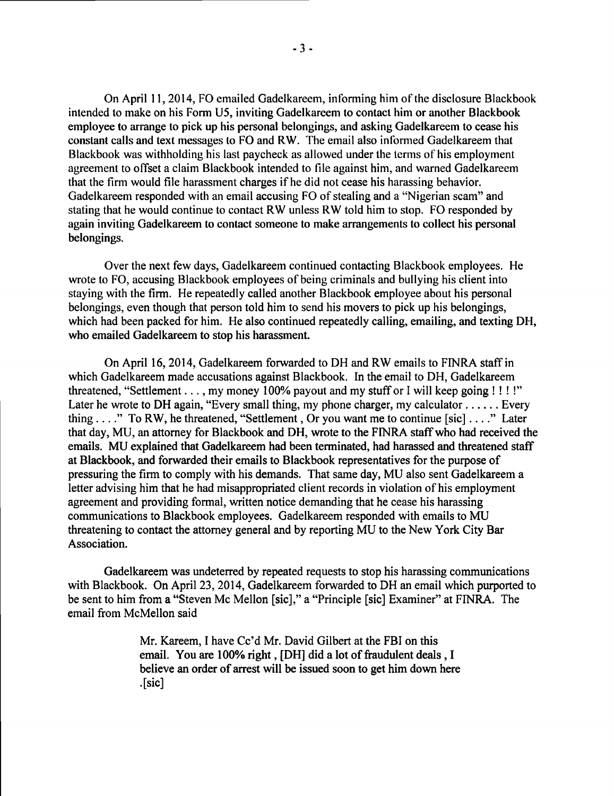On April 11, 2014, FO emailed Gadelkareem, informing him ofthe disclosure Blackbook intended to make on his Form U5, inviting Gadelkareem to contact him or another Blackbook employee to arrange to pick up his personal belongings, and asking Gadelkareem to cease his constant calls and text messages to FO and RW. The email also informed Gadelkareem that Blackbook was withholding his last paycheck as allowed under the terms of his employment agreement to offset a claim Blackbook intended to file against him, and warned Gadelkareem that the firm would file harassment charges if he did not cease his harassing behavior. Gadelkareem responded with an email accusing FO of stealing and <sup>a</sup> "Nigerian scam" and stating that he would continue to contact RW unless RW told him to stop. FO responded by again inviting Gadelkareem to contact someone to make arrangements to collect his personal belongings.

Over the next few days, Gadelkareem continued contacting Blackbook employees. He wrote to FO, accusing Blackbook employees of being criminals and bullying his client into staying with the firm. He repeatedly called another Blackbook employee about his personal belongings, even though that person told him to send his movers to pick up his belongings, which had been packed for him. He also continued repeatedly calling, emailing, and texting DH, who emailed Gadelkareem to stop his harassment.

On April 16, 2014, Gadelkareem forwarded to DH and RW emails to FINRA staff in which Gadelkareem made accusations against Blackbook. In the email to DH, Gadelkareem threatened, "Settlement . . . , my money 100% payout and my stuff or I will keep going !!!!" Later he wrote to DH again, "Every small thing, my phone charger, my calculator...... Every thing ...." To RW, he threatened, "Settlement, Or you want me to continue [sic]...." Later that day, MU, an attorney for Blackbook and DH, wrote to the FINRA staffwho had received the emails. MU explained that Gadelkareem had been terminated, had harassed and threatened staff at Blackbook, and forwarded their emails to Blackbook representatives for the purpose of pressuring the firm to comply with his demands. That same day, MU also sent Gadelkareem a letter advising him that he had misappropriated client records in violation of his employment agreement and providing formal, written notice demanding that he cease his harassing communications to Blackbook employees. Gadelkareem responded with emails to MU threatening to contact the attorney general and by reporting MU to the New York City Bar Association.

Gadelkareem was undeterred by repeated requests to stop his harassing communications with Blackbook. On April 23, 2014, Gadelkareem forwarded to DH an email which purported to be sent to him from a "Steven Mc Mellon [sic]," a "Principle [sic] Examiner" at FINRA. The email from McMellon said

> Mr. Kareem, I have Cc'd Mr. David Gilbert at the FBI on this email. You are 100% right, [DH] did a lot of fraudulent deals, I believe an order of arrest will be issued soon to get him down here .[SiC]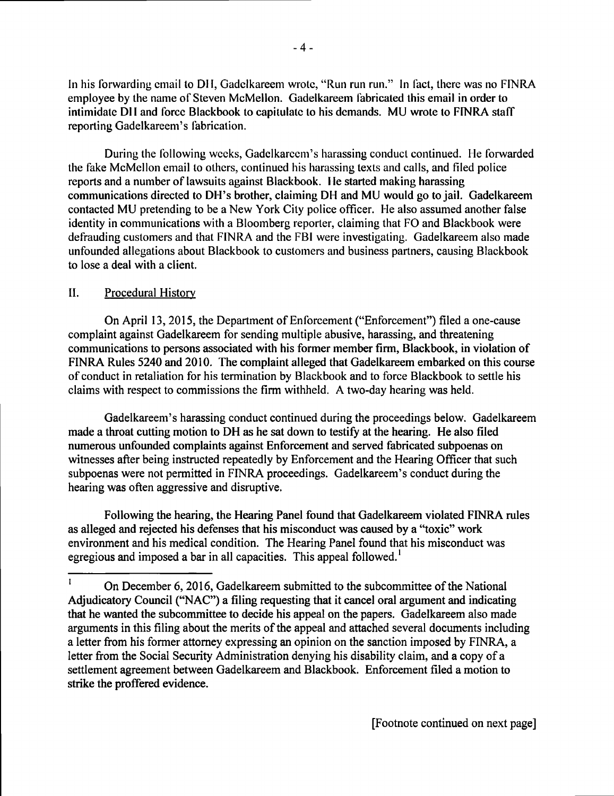In his forwarding email to DH, Gadelkareem wrote, "Run run run." In fact, there was no FINRA employee by the name of Steven McMellon. Gadelkareem fabricated this email in order to intimidate DH and force Blackbook to capitulate to his demands. MU wrote to FINRA staff reporting Gadelkareem's fabrication.

During the following weeks, Gadclkarccm's harassing conduct continued. He forwarded the fake McMellon email to others, continued his harassing texts and calls, and filed police reports and a number of lawsuits against Blackbook. He started making harassing communications directed to DH's brother, claiming DH and MU would go to jail. Gadelkareem contacted MU pretending to be a New York City police officer. He also assumed another false identity in communications with a Bloomberg reporter, claiming that FO and Blackbook were defrauding customers and that FINRA and the FBI were investigating. Gadelkareem also made unfounded allegations about Blackbook to customers and business partners, causing Blackbook to lose a deal with a client.

## II. Procedural History-

On April 13, 2015, the Department of Enforcement ("Enforcement") filed a one-cause complaint against Gadelkareem for sending multiple abusive, harassing, and threatening communications to persons associated with his former member firm, Blackbook, in violation of FINRA Rules 5240 and 2010. The complaint alleged that Gadelkareem embarked on this course of conduct in retaliation for his termination by Blackbook and to force Blackbook to settle his claims with respect to commissions the firm withheld. A two-day hearing was held.

Gadelkareem's harassing conduct continued during the proceedings below. Gadelkareem made a throat cutting motion to DH as he sat down to testify at the hearing. He also filed numerous unfounded complaints against Enforcement and served fabricated subpoenas on witnesses after being instructed repeatedly by Enforcement and the Hearing Officer that such subpoenas were not permitted in FINRA proceedings. Gadelkareem's conduct during the hearing was often aggressive and disruptive.

Following the hearing, the Hearing Panel found that Gadelkareem violated FINRA rules as alleged and rejected his defenses that his misconduct was caused by a "toxic" work environment and his medical condition. The Hearing Panel found that his misconduct was egregious and imposed a bar in all capacities. This appeal followed.<sup>1</sup>

<sup>&</sup>lt;sup>1</sup> On December 6, 2016, Gadelkareem submitted to the subcommittee of the National Adjudicatory Council ("NAC") a filing requesting that it cancel oral argument and indicating that he wanted the subcommittee to decide his appeal on the papers. Gadelkareem also made arguments in this filing about the merits of the appeal and attached several documents including a letter from his former attorney expressing an opinion on the sanction imposed by FINRA, a letter from the Social Security Administration denying his disability claim, and a copy of <sup>a</sup> settlement agreement between Gadelkareem and Blackbook. Enforcement filed a motion to strike the proffered evidence.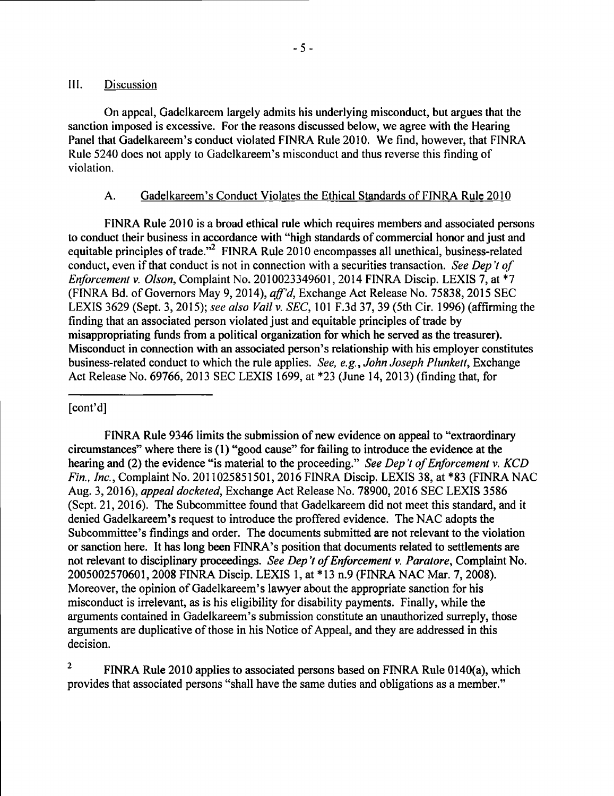## Ill. Discussion

On appeal, Gadclkarecm largely admits his underlying misconduct, but argues that the sanction imposed is excessive. For the reasons discussed below, we agree with the Hearing Panel that Gadelkareem's conduct violated FINRA Rule 2010. We find, however, that FINRA Rule 5240 does not apply to Gadelkareem's misconduct and thus reverse this finding of violation.

### A. Gadelkareem's Conduct Violates the Ethical Standards of FINRA Rule 2010

FINRA Rule 2010 is a broad ethical rule which requires members and associated persons to conduct their business in accordance with "high standards of commercial honor and just and equitable principles of trade."<sup>2</sup> FINRA Rule 2010 encompasses all unethical, business-related conduct, even if that conduct is not in connection with a securities transaction. See Dep't of Enforcement v. Olson, Complaint No. 2010023349601, 2014 FINRA Discip. LEXIS 7, at \*7 (FINRA Bd. of Governors May 9,2014), aff'd, Exchange Act Release No. 75838,2015 SEC LEXIS 3629 (Sept. 3, 2015); see also Vail v. SEC, 101 F.3d 37, 39 (5th Cir. 1996) (affirming the finding that an associated person violated just and equitable principles of trade by misappropriating funds from a political organization for which he served as the treasurer). Misconduct in connection with an associated person's relationship with his employer constitutes business-related conduct to which the rule applies. See, e.g., John Joseph Plunkett, Exchange Act Release No. 69766,2013 SEC LEXIS 1699, at \*23 (June 14,2013) (finding that, for

### [cont'd]

FINRA Rule 9346 limits the submission of new evidence on appeal to "extraordinary" circumstances" where there is (1) "good cause" for failing to introduce the evidence at the hearing and (2) the evidence "is material to the proceeding." See Dep't of Enforcement v. KCD Fin., Inc., Complaint No. 2011025851501, 2016 FINRA Discip. LEXIS 38, at \*83 (FINRA NAC Aug. 3, 2016), appeal docketed, Exchange Act Release No. 78900,2016 SEC LEXIS 3586 (Sept. 21,2016). The Subcommittee found that Gadelkareem did not meet this standard, and it denied Gadelkareem's request to introduce the proffered evidence. The NAC adopts the Subcommittee's findings and order. The documents submitted are not relevant to the violation or sanction here. It has long been FINRA's position that documents related to settlements are not relevant to disciplinary proceedings. See Dep't of Enforcement v. Paratore, Complaint No. 2005002570601,2008 FINRA Discip. LEXIS 1, at \*13 n.9 (FINRA NAC Mar. 7,2008). Moreover, the opinion of Gadelkareem's lawyer about the appropriate sanction for his misconduct is irrelevant, as is his eligibility for disability payments. Finally, while the arguments contained in Gadelkareem's submission constitute an unauthorized surreply, those arguments are duplicative of those in his Notice of Appeal, and they are addressed in this decision.

2 FINRA Rule 2010 applies to associated persons based on FINRA Rule 0140(a), which provides that associated persons "shall have the same duties and obligations as a member."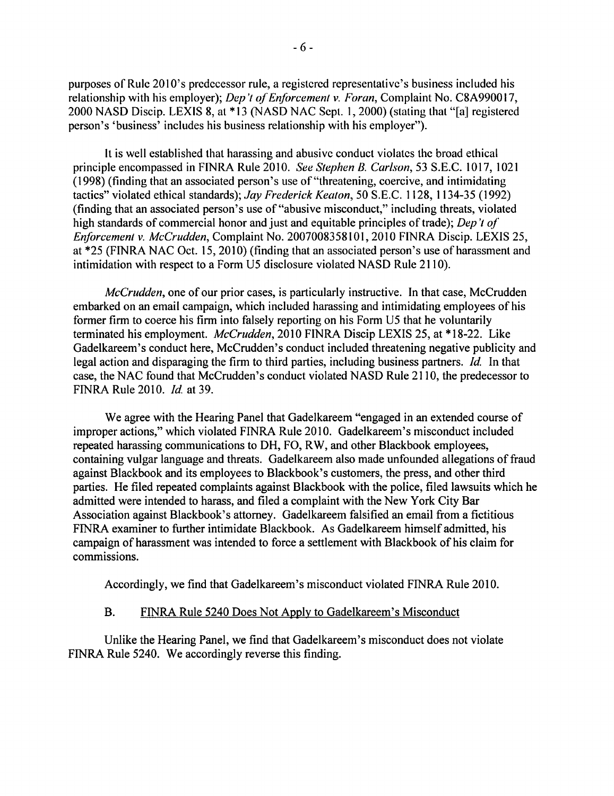purposes of Rule 2010's predecessor rule, <sup>a</sup> registered representative's business included his relationship with his employer); Dep't of Enforcement v. Foran, Complaint No. C8A990017, 2000 NASD Discip. LEXIS 8, at \*13 (NASD NAC Sept. 1, 2000) (stating that "[a] registered person's 'business' includes his business relationship with his employer").

lt is well established that harassing and abusive conduct violates the broad ethical principle encompassed in FINRA Rule 2010. See Stephen B. Carlson, 53 S.E.C. 1017,1021 (1998) (finding that an associated person's use of"threatening, coercive, and intimidating tactics" violated ethical standards); Jay Frederick Keaton, 50 S.E.C. 1128, 1134-35 (1992) (finding that an associated person's use of"abusive misconduct," including threats, violated high standards of commercial honor and just and equitable principles of trade); Dep't of Enforcement v. McCrudden, Complaint No. 2007008358101,2010 FINRA Discip. LEXIS 25, at \*25 (FINRA NAC Oct. 15,2010) (finding that an associated person's use of harassment and intimidation with respect to a Form U5 disclosure violated NASD Rule 2110).

McCrudden, one of our prior cases, is particularly instructive. In that case, McCrudden embarked on an email campaign, which included harassing and intimidating employees of his former firm to coerce his firm into falsely reporting on his Form U5 that he voluntarily terminated his employment. McCrudden, 2010 FINRA Discip LEXIS 25, at \*18-22. Like Gadelkareem's conduct here, McCrudden's conduct included threatening negative publicity and legal action and disparaging the firm to third parties, including business partners. *Id.* In that case, the NAC found that McCrudden's conduct violated NASD Rule <sup>21</sup> 10, the predecessor to FINRA Rule 2010. *Id.* at 39.

We agree with the Hearing Panel that Gadelkareem "engaged in an extended course of improper actions," which violated FINRA Rule 2010. Gadelkareem's misconduct included repeated harassing communications to DH, FO, RW, and other Blackbook employees, containing vulgar language and threats. Gadelkareem also made unfounded allegations of fraud against Blackbook and its employees to Blackbook's customers, the press, and other third parties. He filed repeated complaints against Blackbook with the police, filed lawsuits which he admitted were intended to harass, and filed <sup>a</sup> complaint with the New York City Bar Association against Blackbook's attorney. Gadelkareem falsified an email from a fictitious FINRA examiner to further intimidate Blackbook. As Gadelkareem himself admitted, his campaign of harassment was intended to force a settlement with Blackbook of his claim for commissions.

Accordingly, we find that Gadelkareem's misconduct violated FINRA Rule 2010.

### B. FINRA Rule 5240 Does Not Apply to Gadelkareem's Misconduct

Unlike the Hearing Panel, we find that Gadelkareem's misconduct does not violate FINRA Rule 5240. We accordingly reverse this finding.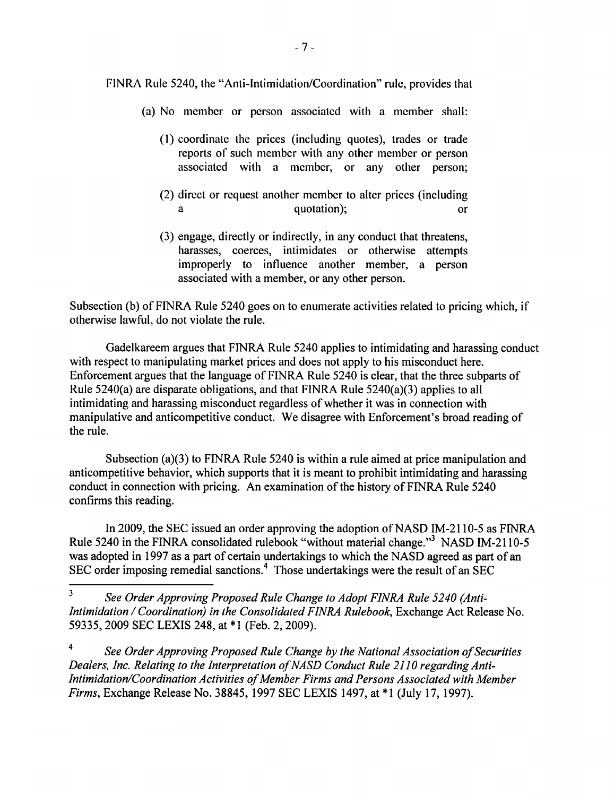FINRA Rule 5240, the "Anti-intimidation/Coordination" rule, provides that

- (a) No member or person associated with <sup>a</sup> member shall:
	- (1) coordinate the prices (including quotes), trades or trade reports of such member with any other member or person associated with <sup>a</sup> member, or any other person;
	- (2) direct or request another member to alter prices (including <sup>a</sup> quotation); or
	- (3) engage, directly or indirectly, in any conduct that threatens, harasses, coerces, intimidates or otherwise attempts improperly to influence another member, <sup>a</sup> person associated with <sup>a</sup> member, or any other person.

Subsection (b) of FINRA Rule <sup>5240</sup> goes on to enumerate activities related to pricing which, if otherwise lawful, do not violate the rule.

Gadelkareem argues that FINRA Rule 5240 applies to intimidating and harassing conduct with respect to manipulating market prices and does not apply to his misconduct here. Enforcement argues that the language of FINRA Rule 5240 is clear, that the three subparts of Rule 5240(a) are disparate obligations, and that FINRA Rule 5240(a)(3) applies to all intimidating and harassing misconduct regardless of whether it was in connection with manipulative and anticompetitive conduct. We disagree with Enforcement's broad reading of the rule.

Subsection (a)(3) to FINRA Rule 5240 is within a rule aimed at price manipulation and anticompetitive behavior, which supports that it is meant to prohibit intimidating and harassing conduct in connection with pricing. An examination of the history of FINRA Rule 5240 confirms this reading.

In 2009, the SEC issued an order approving the adoption of NASD IM-2110-5 as FINRA Rule 5240 in the FINRA consolidated rulebook "without material change."3 NASD IM-2110-5 was adopted in 1997 as a part of certain undertakings to which the NASD agreed as part of an SEC order imposing remedial sanctions.<sup>4</sup> Those undertakings were the result of an SEC

3 See Order Approving Proposed Rule Change to Adopt FINRA Rule 5240 (Anti-Intimidation / Coordination) in the Consolidated FINRA Rulebook, Exchange Act Release No. 59335,2009 SEC LEXIS 248, at \*1 (Feb. 2, 2009).

<sup>4</sup> See Order Approving Proposed Rule Change by the National Association of Securities Dealers, Inc. Relating to the Interpretation of NASD Conduct Rule 2110 regarding Anti-Intimidation/Coordination Activities of Member Firms and Persons Associated with Member Firms, Exchange Release No. 38845,1997 SEC LEXIS 1497, at \*1 (July 17,1997).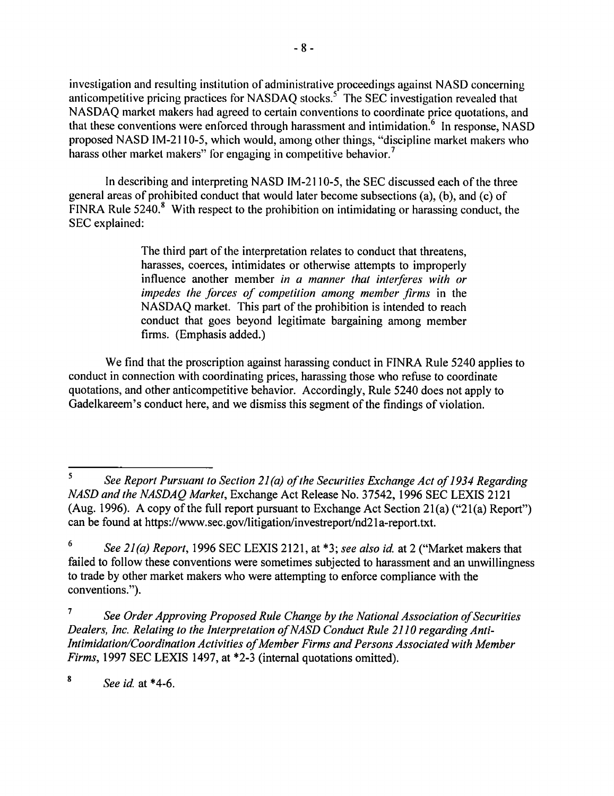investigation and resulting institution of administrative proceedings against NASD concerning anticompetitive pricing practices for NASDAQ stocks.<sup>5</sup> The SEC investigation revealed that NASDAQ market makers had agreed to certain conventions to coordinate price quotations, and that these conventions were enforced through harassment and intimidation.<sup> $6$ </sup> In response, NASD proposed NASD IM-2110-5, which would, among other things, "discipline market makers who harass other market makers" for engaging in competitive behavior.<sup>7</sup>

In describing and interpreting NASD IM-2110-5, the SEC discussed each of the three general areas of prohibited conduct that would later become subsections (a), (b), and (c) of FINRA Rule  $5240$ .<sup>8</sup> With respect to the prohibition on intimidating or harassing conduct, the SEC explained:

> The third part of the interpretation relates to conduct that threatens, harasses, coerces, intimidates or otherwise attempts to improperly influence another member in a manner that interferes with or impedes the forces of competition among member firms in the NASDAQ market. This part of the prohibition is intended to reach conduct that goes beyond legitimate bargaining among member firms. (Emphasis added.)

We find that the proscription against harassing conduct in FINRA Rule 5240 applies to conduct in connection with coordinating prices, harassing those who refuse to coordinate quotations, and other anticompetitive behavior. Accordingly, Rule 5240 does not apply to Gadelkareem's conduct here, and we dismiss this segment of the findings of violation.

8 See id at \*4-6.

<sup>5</sup> See Report Pursuant to Section 21(a) of the Securities Exchange Act of 1934 Regarding NASD and the NASDAQ Market, Exchange Act Release No. 37542, 1996 SEC LEXIS 2121 (Aug. 1996). A copy of the full report pursuant to Exchange Act Section  $21(a)$  ("21(a) Report") can be found at https://www.sec.gov/litigation/investreport/nd21 a-report.txt.

<sup>6</sup> See  $2I(a)$  Report, 1996 SEC LEXIS 2121, at  $*3$ ; see also id. at 2 ("Market makers that failed to follow these conventions were sometimes subjected to harassment and an unwillingness to trade by other market makers who were attempting to enforce compliance with the conventions.").

<sup>7</sup> See Order Approving Proposed Rule Change by the National Association of Securities Dealers, Inc. Relating to the Interpretation of NASD Conduct Rule 2110 regarding Anti-Intimidation/Coordination Activities of Member Firms and Persons Associated with Member Firms, 1997 SEC LEXIS 1497, at \*2-3 (internal quotations omitted).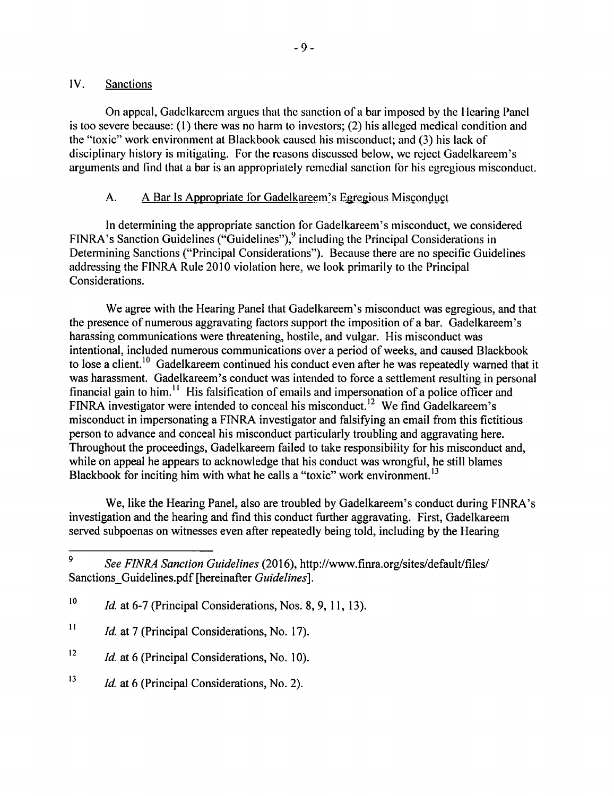## lv. Sanctions

On appeal, Gadelkarecm argues that the sanction of a bar imposed by the Hearing Panel is too severe because: (1) there was no harm to investors; (2) his alleged medical condition and the "toxic" work environment at Blackbook caused his misconduct; and (3) his lack of disciplinary history is mitigating. For the reasons discussed below, wc reject Gadelkareem's arguments and find that a bar is an appropriately remcdial sanction for his egregious misconduct.

# A. A Bar Is Appropriate for Gadelkareem's Egregious Misconduct

In determining the appropriate sanction for Gadelkareem's misconduct, we considered FINRA's Sanction Guidelines ("Guidelines"), $9$  including the Principal Considerations in Determining Sanctions ("Principal Considerations"). Because there are no specific Guidelines addressing the FINRA Rule 2010 violation here, we look primarily to the Principal Considerations.

We agree with the Hearing Panel that Gadelkareem's misconduct was egregious, and that the presence of numerous aggravating factors support the imposition of <sup>a</sup> bar. Gadelkareem's harassing communications were threatening, hostile, and vulgar. His misconduct was intentional, included numerous communications over <sup>a</sup> period of weeks, and caused Blackbook to lose a client.<sup>10</sup> Gadelkareem continued his conduct even after he was repeatedly warned that it was harassment. Gadelkareem's conduct was intended to force a settlement resulting in personal financial gain to him.<sup>11</sup> His falsification of emails and impersonation of a police officer and FINRA investigator were intended to conceal his misconduct.<sup>12</sup> We find Gadelkareem's misconduct in impersonating a FINRA investigator and falsifying an email from this fictitious person to advance and conceal his misconduct particularly troubling and aggravating here. Throughout the proceedings, Gadelkareem failed to take responsibility for his misconduct and, while on appeal he appears to acknowledge that his conduct was wrongful, he still blames Blackbook for inciting him with what he calls a "toxic" work environment.<sup>13</sup>

We, like the Hearing Panel, also are troubled by Gadelkareem's conduct during FINRA's investigation and the hearing and find this conduct further aggravating. First, Gadelkareem served subpoenas on witnesses even after repeatedly being told, including by the Hearing

- <sup>12</sup> *Id.* at 6 (Principal Considerations, No. 10).
- <sup>13</sup> *Id.* at 6 (Principal Considerations, No. 2).

<sup>9</sup> See FINRA Sanction Guidelines (2016), http://www.finra.org/sites/default/files/ Sanctions-Guidelines.pdf [hereinafter Guidelines].

 $10$  *Id.* at 6-7 (Principal Considerations, Nos. 8, 9, 11, 13).

<sup>&</sup>lt;sup>11</sup> *Id.* at 7 (Principal Considerations, No. 17).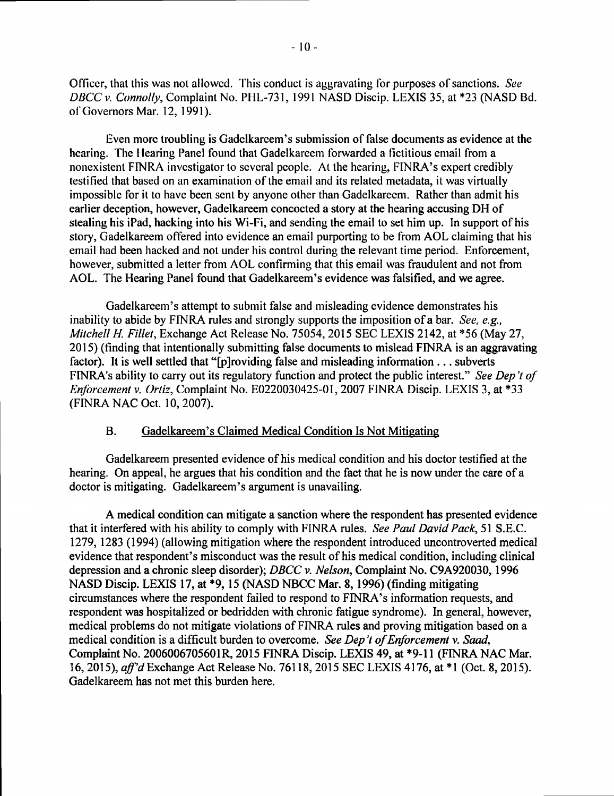Officer, that this was not allowed. This conduct is aggravating for purposes of sanctions. See DBCC v. Connolly, Complaint No. PHL-731, 1991 NASD Discip. LEXIS 35, at \*23 (NASD Bd. of Governors Mar. 12, 1991).

Even more troubling is Gadelkarcem's submission of false documents as evidence at the hearing. The Hearing Panel found that Gadelkareem forwarded a fictitious email from a nonexistent FINRA investigator to several people. At the hearing, FINRA's expert credibly testified that based on an examination of the email and its related metadata, it was virtually impossible for it to have been sent by anyone other than Gadelkareem. Rather than admit his earlier deception, however, Gadelkareem concocted <sup>a</sup> story at the hearing accusing DH of stealing his iPad, hacking into his Wi-Fi, and sending the email to set him up. In support of his story, Gadelkareem offered into evidence an email purporting to be from AOL claiming that his email had been hacked and not under his control during the relevant time period. Enforcement, however, submitted a letter from AOL confirming that this email was fraudulent and not from AOL. The Hearing Panel found that Gadelkareem's evidence was falsified, and we agree.

Gadelkareem's attempt to submit false and misleading evidence demonstrates his inability to abide by FINRA rules and strongly supports the imposition of a bar. See, e.g., Mitchell H. Fillet, Exchange Act Release No. 75054, 2015 SEC LEXIS 2142, at \*56 (May 27, 2015) (finding that intentionally submitting false documents to mislead FINRA is an aggravating factor). It is well settled that "[p]roviding false and misleading information... subverts FINRA's ability to carry out its regulatory function and protect the public interest." See Dep't of Enforcement v. Ortiz, Complaint No. E0220030425-01,2007 FINRA Discip. LEXIS 3, at \*33 (FINRA NAC Oct. 10,2007).

#### B. Gadelkareem's Claimed Medical Condition Is Not Mitigating

Gadelkareem presented evidence of his medical condition and his doctor testified at the hearing. On appeal, he argues that his condition and the fact that he is now under the care of a doctor is mitigating. Gadelkareem's argument is unavailing.

A medical condition can mitigate a sanction where the respondent has presented evidence that it interfered with his ability to comply with FINRA rules. See Paul David Pack, 51 S.E.C. 1279,1283 (1994) (allowing mitigation where the respondent introduced uncontroverted medical evidence that respondent's misconduct was the result of his medical condition, including clinical depression and a chronic sleep disorder); DBCC v. Nelson, Complaint No. C9A920030,1996 NASD Discip. LEXIS 17, at \*9, 15 (NASD NBCC Mar. 8, 1996) (finding mitigating circumstances where the respondent failed to respond to FINRA's information requests, and respondent was hospitalized or bedridden with chronic fatigue syndrome). In general, however, medical problems do not mitigate violations of FINRA rules and proving mitigation based on a medical condition is a difficult burden to overcome. See Dep't of Enforcement v. Saad, Complaint No. 2006006705601R, 2015 FINRA Discip. LEXIS 49, at \*9-11 (FINRA NAC Mar. 16, 2015), aff'd Exchange Act Release No. 76118, 2015 SEC LEXIS 4176, at \*1 (Oct. 8, 2015). Gadelkareem has not met this burden here.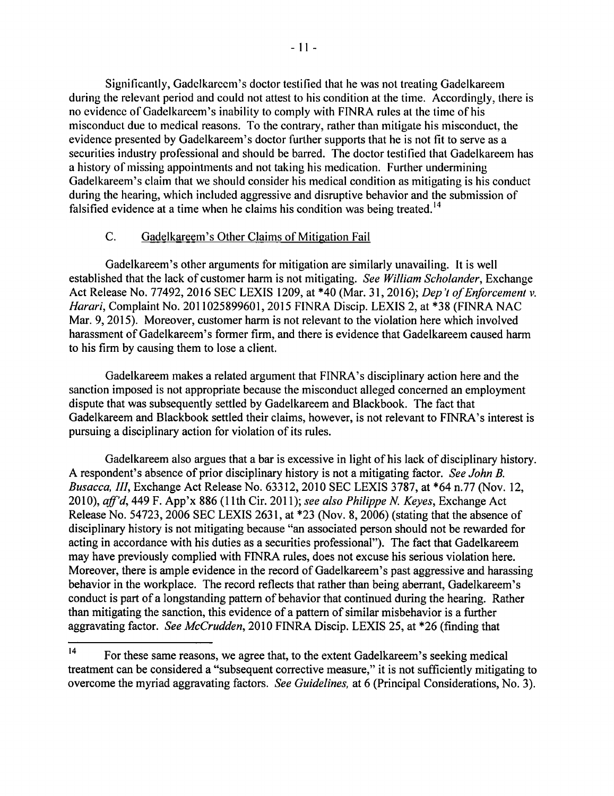Significantly, Gadelkarccm's doctor testified that he was not treating Gadelkareem during the relevant period and could not attest to his condition at the time. Accordingly, there is no evidence of Gadelkarccm's inability to comply with FINRA rules at the time ofhis misconduct due to medical reasons. To the contrary, rather than mitigate his misconduct, the evidence presented by Gadelkareem's doctor further supports that he is not fit to serve as <sup>a</sup> securities industry professional and should be barred. The doctor testified that Gadelkareem has <sup>a</sup> history of missing appointments and not taking his medication. Further undermining Gadelkareem's claim that we should consider his medical condition as mitigating is his conduct during the hearing, which included aggressive and disruptive behavior and the submission of falsified evidence at a time when he claims his condition was being treated.<sup>14</sup>

### C. Gadelkareem's Other Claims of Mitigation Fail

Gadelkareem's other arguments for mitigation are similarly unavailing. It is well established that the lack of customer harm is not mitigating. See William Scholander, Exchange Act Release No. 77492, 2016 SEC LEXIS 1209, at \*40 (Mar. 31, 2016); Dep't of Enforcement v. Harari, Complaint No. 2011025899601, 2015 FINRA Discip. LEXIS 2, at \*38 (FINRA NAC Mar. 9,2015). Moreover, customer harm is not relevant to the violation here which involved harassment of Gadelkareem's former firm, and there is evidence that Gadelkareem caused harm to his firm by causing them to lose a client.

Gadelkareem makes a related argument that FINRA's disciplinary action here and the sanction imposed is not appropriate because the misconduct alleged concerned an employment dispute that was subsequently settled by Gadelkareem and Blackbook. The fact that Gadelkareem and Blackbook settled their claims, however, is not relevant to FINRA's interest is pursuing a disciplinary action for violation of its rules.

Gadelkareem also argues that <sup>a</sup> bar is excessive in light of his lack of disciplinary history. A respondent's absence of prior disciplinary history is not a mitigating factor. See John B. Busacca, III, Exchange Act Release No. 63312, 2010 SEC LEXIS 3787, at \*64 n.77 (Nov. 12, 2010),  $aff'd$ , 449 F. App'x 886 (11th Cir. 2011); see also Philippe N. Keyes, Exchange Act Release No. 54723, 2006 SEC LEXIS 2631, at \*23 (Nov. 8, 2006) (stating that the absence of disciplinary history is not mitigating because "an associated person should not be rewarded for acting in accordance with his duties as a securities professional"). The fact that Gadelkareem may have previously complied with FINRA rules, does not excuse his serious violation here. Moreover, there is ample evidence in the record of Gadelkareem's past aggressive and harassing behavior in the workplace. The record reflects that rather than being aberrant, Gadelkareem's conduct is part of <sup>a</sup> longstanding pattern of behavior that continued during the hearing. Rather than mitigating the sanction, this evidence of a pattern of similar misbehavior is a further aggravating factor. See McCrudden, 2010 FINRA Discip. LEXIS 25, at \*26 (finding that

<sup>14</sup> For these same reasons, we agree that, to the extent Gadelkareem's seeking medical treatment can be considered a "subsequent corrective measure," it is not sufficiently mitigating to overcome the myriad aggravating factors. See Guidelines, at <sup>6</sup> (Principal Considerations, No. 3).